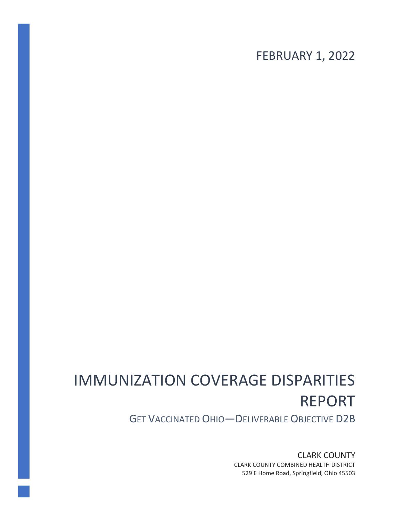FEBRUARY 1, 2022

# IMMUNIZATION COVERAGE DISPARITIES REPORT

GET VACCINATED OHIO—DELIVERABLE OBJECTIVE D2B

CLARK COUNTY CLARK COUNTY COMBINED HEALTH DISTRICT 529 E Home Road, Springfield, Ohio 45503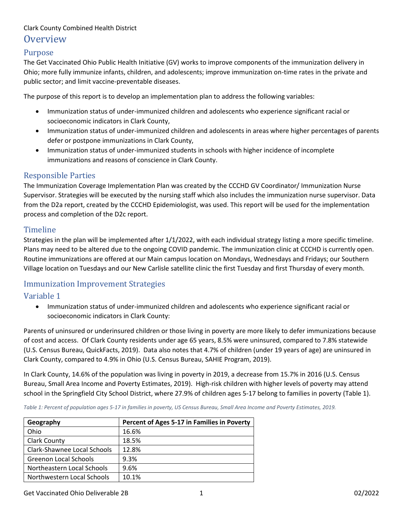## Purpose

The Get Vaccinated Ohio Public Health Initiative (GV) works to improve components of the immunization delivery in Ohio; more fully immunize infants, children, and adolescents; improve immunization on-time rates in the private and public sector; and limit vaccine-preventable diseases.

The purpose of this report is to develop an implementation plan to address the following variables:

- Immunization status of under-immunized children and adolescents who experience significant racial or socioeconomic indicators in Clark County,
- Immunization status of under-immunized children and adolescents in areas where higher percentages of parents defer or postpone immunizations in Clark County,
- Immunization status of under-immunized students in schools with higher incidence of incomplete immunizations and reasons of conscience in Clark County.

## Responsible Parties

The Immunization Coverage Implementation Plan was created by the CCCHD GV Coordinator/ Immunization Nurse Supervisor. Strategies will be executed by the nursing staff which also includes the immunization nurse supervisor. Data from the D2a report, created by the CCCHD Epidemiologist, was used. This report will be used for the implementation process and completion of the D2c report.

## Timeline

Strategies in the plan will be implemented after 1/1/2022, with each individual strategy listing a more specific timeline. Plans may need to be altered due to the ongoing COVID pandemic. The immunization clinic at CCCHD is currently open. Routine immunizations are offered at our Main campus location on Mondays, Wednesdays and Fridays; our Southern Village location on Tuesdays and our New Carlisle satellite clinic the first Tuesday and first Thursday of every month.

## Immunization Improvement Strategies

# Variable 1

• Immunization status of under-immunized children and adolescents who experience significant racial or socioeconomic indicators in Clark County:

Parents of uninsured or underinsured children or those living in poverty are more likely to defer immunizations because of cost and access. Of Clark County residents under age 65 years, 8.5% were uninsured, compared to 7.8% statewide (U.S. Census Bureau, QuickFacts, 2019). Data also notes that 4.7% of children (under 19 years of age) are uninsured in Clark County, compared to 4.9% in Ohio (U.S. Census Bureau, SAHIE Program, 2019).

In Clark County, 14.6% of the population was living in poverty in 2019, a decrease from 15.7% in 2016 (U.S. Census Bureau, Small Area Income and Poverty Estimates, 2019). High-risk children with higher levels of poverty may attend school in the Springfield City School District, where 27.9% of children ages 5-17 belong to families in poverty (Table 1).

**Geography Percent of Ages 5-17 in Families in Poverty** Ohio 16.6% Clark County 18.5% Clark-Shawnee Local Schools | 12.8% Greenon Local Schools 19.3% Northeastern Local Schools | 9.6% Northwestern Local Schools | 10.1%

*Table 1: Percent of population ages 5-17 in families in poverty, US Census Bureau, Small Area Income and Poverty Estimates, 2019.*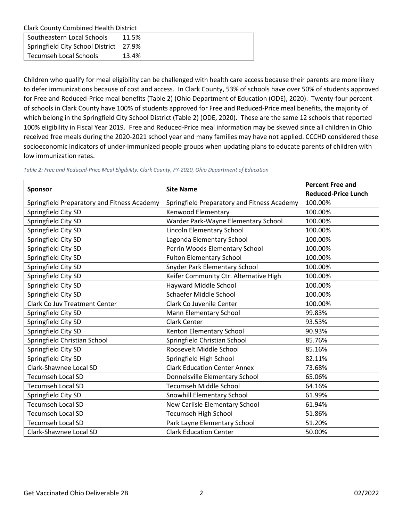| Southeastern Local Schools               | 11.5% |
|------------------------------------------|-------|
| Springfield City School District   27.9% |       |
| Tecumseh Local Schools                   | 13.4% |

Children who qualify for meal eligibility can be challenged with health care access because their parents are more likely to defer immunizations because of cost and access. In Clark County, 53% of schools have over 50% of students approved for Free and Reduced-Price meal benefits (Table 2) (Ohio Department of Education (ODE), 2020). Twenty-four percent of schools in Clark County have 100% of students approved for Free and Reduced-Price meal benefits, the majority of which belong in the Springfield City School District (Table 2) (ODE, 2020). These are the same 12 schools that reported 100% eligibility in Fiscal Year 2019. Free and Reduced-Price meal information may be skewed since all children in Ohio received free meals during the 2020-2021 school year and many families may have not applied. CCCHD considered these socioeconomic indicators of under-immunized people groups when updating plans to educate parents of children with low immunization rates.

|                                             | <b>Site Name</b>                            | <b>Percent Free and</b>    |
|---------------------------------------------|---------------------------------------------|----------------------------|
| <b>Sponsor</b>                              |                                             | <b>Reduced-Price Lunch</b> |
| Springfield Preparatory and Fitness Academy | Springfield Preparatory and Fitness Academy | 100.00%                    |
| Springfield City SD                         | Kenwood Elementary                          | 100.00%                    |
| Springfield City SD                         | Warder Park-Wayne Elementary School         | 100.00%                    |
| Springfield City SD                         | Lincoln Elementary School                   | 100.00%                    |
| Springfield City SD                         | Lagonda Elementary School                   | 100.00%                    |
| Springfield City SD                         | Perrin Woods Elementary School              | 100.00%                    |
| Springfield City SD                         | <b>Fulton Elementary School</b>             | 100.00%                    |
| Springfield City SD                         | Snyder Park Elementary School               | 100.00%                    |
| Springfield City SD                         | Keifer Community Ctr. Alternative High      | 100.00%                    |
| Springfield City SD                         | Hayward Middle School                       | 100.00%                    |
| Springfield City SD                         | Schaefer Middle School                      | 100.00%                    |
| <b>Clark Co Juv Treatment Center</b>        | Clark Co Juvenile Center                    | 100.00%                    |
| Springfield City SD                         | Mann Elementary School                      | 99.83%                     |
| Springfield City SD                         | <b>Clark Center</b>                         | 93.53%                     |
| Springfield City SD                         | Kenton Elementary School                    | 90.93%                     |
| Springfield Christian School                | Springfield Christian School                | 85.76%                     |
| Springfield City SD                         | Roosevelt Middle School                     | 85.16%                     |
| Springfield City SD                         | Springfield High School                     | 82.11%                     |
| Clark-Shawnee Local SD                      | <b>Clark Education Center Annex</b>         | 73.68%                     |
| <b>Tecumseh Local SD</b>                    | Donnelsville Elementary School              | 65.06%                     |
| <b>Tecumseh Local SD</b>                    | <b>Tecumseh Middle School</b>               | 64.16%                     |
| Springfield City SD                         | Snowhill Elementary School                  | 61.99%                     |
| <b>Tecumseh Local SD</b>                    | New Carlisle Elementary School              | 61.94%                     |
| <b>Tecumseh Local SD</b>                    | <b>Tecumseh High School</b>                 | 51.86%                     |
| <b>Tecumseh Local SD</b>                    | Park Layne Elementary School                | 51.20%                     |
| Clark-Shawnee Local SD                      | <b>Clark Education Center</b>               | 50.00%                     |

*Table 2: Free and Reduced-Price Meal Eligibility, Clark County, FY-2020, Ohio Department of Education*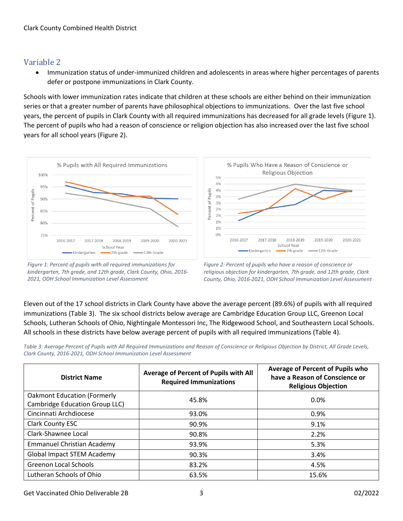# Variable 2

• Immunization status of under-immunized children and adolescents in areas where higher percentages of parents defer or postpone immunizations in Clark County.

Schools with lower immunization rates indicate that children at these schools are either behind on their immunization series or that a greater number of parents have philosophical objections to immunizations. Over the last five school years, the percent of pupils in Clark County with all required immunizations has decreased for all grade levels (Figure 1). The percent of pupils who had a reason of conscience or religion objection has also increased over the last five school years for all school years (Figure 2).



*Figure 1: Percent of pupils with all required immunizations for kindergarten, 7th grade, and 12th grade, Clark County, Ohio, 2016- 2021, ODH School Immunization Level Assessment*



*Figure 2: Percent of pupils who have a reason of conscience or religious objection for kindergarten, 7th grade, and 12th grade, Clark County, Ohio, 2016-2021, ODH School Immunization Level Assessment*

Eleven out of the 17 school districts in Clark County have above the average percent (89.6%) of pupils with all required immunizations (Table 3). The six school districts below average are Cambridge Education Group LLC, Greenon Local Schools, Lutheran Schools of Ohio, Nightingale Montessori Inc, The Ridgewood School, and Southeastern Local Schools. All schools in these districts have below average percent of pupils with all required immunizations (Table 4).

*Table 3: Average Percent of Pupils with All Required Immunizations and Reason of Conscience or Religious Objection by District, All Grade Levels, Clark County, 2016-2021, ODH School Immunization Level Assessment*

| <b>District Name</b>                                                 | Average of Percent of Pupils with All<br><b>Required Immunizations</b> | Average of Percent of Pupils who<br>have a Reason of Conscience or<br><b>Religious Objection</b> |  |
|----------------------------------------------------------------------|------------------------------------------------------------------------|--------------------------------------------------------------------------------------------------|--|
| <b>Oakmont Education (Formerly</b><br>Cambridge Education Group LLC) | 45.8%                                                                  | $0.0\%$                                                                                          |  |
| Cincinnati Archdiocese                                               | 93.0%                                                                  | 0.9%                                                                                             |  |
| Clark County ESC                                                     | 90.9%                                                                  | 9.1%                                                                                             |  |
| Clark-Shawnee Local                                                  | 90.8%                                                                  | 2.2%                                                                                             |  |
| <b>Emmanuel Christian Academy</b>                                    | 93.9%                                                                  | 5.3%                                                                                             |  |
| <b>Global Impact STEM Academy</b>                                    | 90.3%                                                                  | 3.4%                                                                                             |  |
| <b>Greenon Local Schools</b>                                         | 83.2%                                                                  | 4.5%                                                                                             |  |
| Lutheran Schools of Ohio                                             | 63.5%                                                                  | 15.6%                                                                                            |  |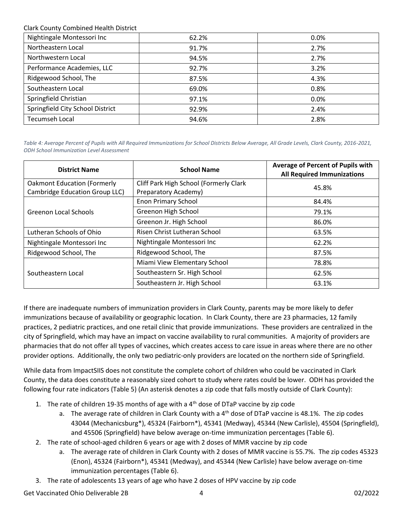| Nightingale Montessori Inc       | 62.2% | 0.0% |
|----------------------------------|-------|------|
| Northeastern Local               | 91.7% | 2.7% |
| Northwestern Local               | 94.5% | 2.7% |
| Performance Academies, LLC       | 92.7% | 3.2% |
| Ridgewood School, The            | 87.5% | 4.3% |
| Southeastern Local               | 69.0% | 0.8% |
| Springfield Christian            | 97.1% | 0.0% |
| Springfield City School District | 92.9% | 2.4% |
| <b>Tecumseh Local</b>            | 94.6% | 2.8% |

*Table 4: Average Percent of Pupils with All Required Immunizations for School Districts Below Average, All Grade Levels, Clark County, 2016-2021, ODH School Immunization Level Assessment*

| <b>District Name</b>               | <b>School Name</b>                     | Average of Percent of Pupils with<br><b>All Required Immunizations</b> |  |
|------------------------------------|----------------------------------------|------------------------------------------------------------------------|--|
| <b>Oakmont Education (Formerly</b> | Cliff Park High School (Formerly Clark | 45.8%                                                                  |  |
| Cambridge Education Group LLC)     | Preparatory Academy)                   |                                                                        |  |
|                                    | <b>Enon Primary School</b>             | 84.4%                                                                  |  |
| Greenon Local Schools              | Greenon High School                    | 79.1%                                                                  |  |
|                                    | Greenon Jr. High School                | 86.0%                                                                  |  |
| Lutheran Schools of Ohio           | Risen Christ Lutheran School           | 63.5%                                                                  |  |
| Nightingale Montessori Inc         | Nightingale Montessori Inc             | 62.2%                                                                  |  |
| Ridgewood School, The              | Ridgewood School, The                  | 87.5%                                                                  |  |
|                                    | Miami View Elementary School           | 78.8%                                                                  |  |
| Southeastern Local                 | Southeastern Sr. High School           | 62.5%                                                                  |  |
|                                    | Southeastern Jr. High School           | 63.1%                                                                  |  |

If there are inadequate numbers of immunization providers in Clark County, parents may be more likely to defer immunizations because of availability or geographic location. In Clark County, there are 23 pharmacies, 12 family practices, 2 pediatric practices, and one retail clinic that provide immunizations. These providers are centralized in the city of Springfield, which may have an impact on vaccine availability to rural communities. A majority of providers are pharmacies that do not offer all types of vaccines, which creates access to care issue in areas where there are no other provider options. Additionally, the only two pediatric-only providers are located on the northern side of Springfield.

While data from ImpactSIIS does not constitute the complete cohort of children who could be vaccinated in Clark County, the data does constitute a reasonably sized cohort to study where rates could be lower. ODH has provided the following four rate indicators (Table 5) (An asterisk denotes a zip code that falls mostly outside of Clark County):

- 1. The rate of children 19-35 months of age with a  $4<sup>th</sup>$  dose of DTaP vaccine by zip code
	- a. The average rate of children in Clark County with a  $4<sup>th</sup>$  dose of DTaP vaccine is 48.1%. The zip codes 43044 (Mechanicsburg\*), 45324 (Fairborn\*), 45341 (Medway), 45344 (New Carlisle), 45504 (Springfield), and 45506 (Springfield) have below average on-time immunization percentages (Table 6).
- 2. The rate of school-aged children 6 years or age with 2 doses of MMR vaccine by zip code
	- a. The average rate of children in Clark County with 2 doses of MMR vaccine is 55.7%. The zip codes 45323 (Enon), 45324 (Fairborn\*), 45341 (Medway), and 45344 (New Carlisle) have below average on-time immunization percentages (Table 6).
- 3. The rate of adolescents 13 years of age who have 2 doses of HPV vaccine by zip code

Get Vaccinated Ohio Deliverable 2B 4 02/2022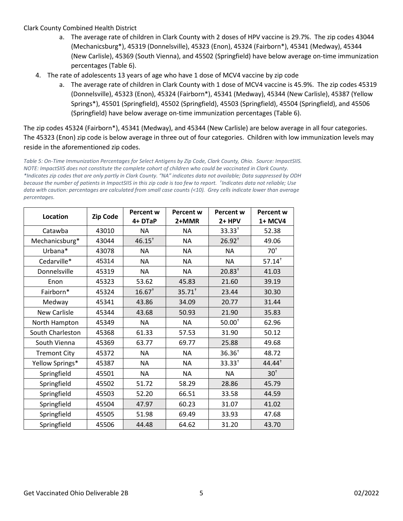- a. The average rate of children in Clark County with 2 doses of HPV vaccine is 29.7%. The zip codes 43044 (Mechanicsburg\*), 45319 (Donnelsville), 45323 (Enon), 45324 (Fairborn\*), 45341 (Medway), 45344 (New Carlisle), 45369 (South Vienna), and 45502 (Springfield) have below average on-time immunization percentages (Table 6).
- 4. The rate of adolescents 13 years of age who have 1 dose of MCV4 vaccine by zip code
	- a. The average rate of children in Clark County with 1 dose of MCV4 vaccine is 45.9%. The zip codes 45319 (Donnelsville), 45323 (Enon), 45324 (Fairborn\*), 45341 (Medway), 45344 (New Carlisle), 45387 (Yellow Springs\*), 45501 (Springfield), 45502 (Springfield), 45503 (Springfield), 45504 (Springfield), and 45506 (Springfield) have below average on-time immunization percentages (Table 6).

The zip codes 45324 (Fairborn\*), 45341 (Medway), and 45344 (New Carlisle) are below average in all four categories. The 45323 (Enon) zip code is below average in three out of four categories. Children with low immunization levels may reside in the aforementioned zip codes.

*Table 5: On-Time Immunization Percentages for Select Antigens by Zip Code, Clark County, Ohio. Source: ImpactSIIS. NOTE: ImpactSIIS does not constitute the complete cohort of children who could be vaccinated in Clark County. \*Indicates zip codes that are only partly in Clark County. "NA" indicates data not available; Data suppressed by ODH because the number of patients in ImpactSIIS in this zip code is too few to report. † Indicates data not reliable; Use data with caution: percentages are calculated from small case counts (<10). Grey cells indicate lower than average percentages.*

| Location            | <b>Zip Code</b> | <b>Percent w</b><br>4+ DTaP | <b>Percent w</b><br>2+MMR | <b>Percent w</b><br>2+ HPV | <b>Percent w</b><br>1+ MCV4 |
|---------------------|-----------------|-----------------------------|---------------------------|----------------------------|-----------------------------|
| Catawba             | 43010           | <b>NA</b>                   | <b>NA</b>                 | $33.33^{+}$                | 52.38                       |
| Mechanicsburg*      | 43044           | $46.15^{+}$                 | <b>NA</b>                 | $26.92^{+}$                | 49.06                       |
| Urbana*             | 43078           | <b>NA</b>                   | NА                        | NA                         | $70^{\circ}$                |
| Cedarville*         | 45314           | <b>NA</b>                   | <b>NA</b>                 | <b>NA</b>                  | $57.14^{+}$                 |
| Donnelsville        | 45319           | <b>NA</b>                   | <b>NA</b>                 | $20.83^{+}$                | 41.03                       |
| Enon                | 45323           | 53.62                       | 45.83                     | 21.60                      | 39.19                       |
| Fairborn*           | 45324           | $16.67^{+}$                 | $35.71^{+}$               | 23.44                      | 30.30                       |
| Medway              | 45341           | 43.86                       | 34.09                     | 20.77                      | 31.44                       |
| <b>New Carlisle</b> | 45344           | 43.68                       | 50.93                     | 21.90                      | 35.83                       |
| North Hampton       | 45349           | <b>NA</b>                   | <b>NA</b>                 | $50.00+$                   | 62.96                       |
| South Charleston    | 45368           | 61.33                       | 57.53                     | 31.90                      | 50.12                       |
| South Vienna        | 45369           | 63.77                       | 69.77                     | 25.88                      | 49.68                       |
| <b>Tremont City</b> | 45372           | <b>NA</b>                   | <b>NA</b>                 | $36.36^{+}$                | 48.72                       |
| Yellow Springs*     | 45387           | <b>NA</b>                   | <b>NA</b>                 | $33.33^{+}$                | $44.44^+$                   |
| Springfield         | 45501           | <b>NA</b>                   | <b>NA</b>                 | <b>NA</b>                  | 30 <sup>†</sup>             |
| Springfield         | 45502           | 51.72                       | 58.29                     | 28.86                      | 45.79                       |
| Springfield         | 45503           | 52.20                       | 66.51                     | 33.58                      | 44.59                       |
| Springfield         | 45504           | 47.97                       | 60.23                     | 31.07                      | 41.02                       |
| Springfield         | 45505           | 51.98                       | 69.49                     | 33.93                      | 47.68                       |
| Springfield         | 45506           | 44.48                       | 64.62                     | 31.20                      | 43.70                       |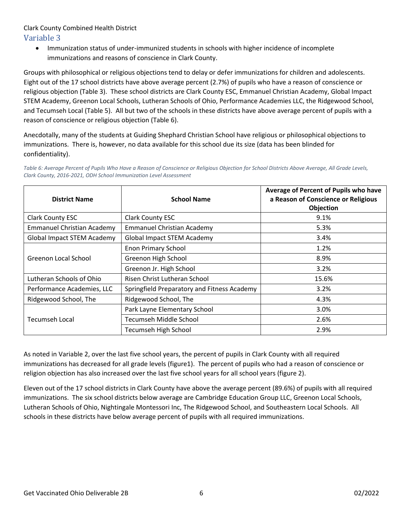• Immunization status of under-immunized students in schools with higher incidence of incomplete immunizations and reasons of conscience in Clark County.

Groups with philosophical or religious objections tend to delay or defer immunizations for children and adolescents. Eight out of the 17 school districts have above average percent (2.7%) of pupils who have a reason of conscience or religious objection (Table 3). These school districts are Clark County ESC, Emmanuel Christian Academy, Global Impact STEM Academy, Greenon Local Schools, Lutheran Schools of Ohio, Performance Academies LLC, the Ridgewood School, and Tecumseh Local (Table 5). All but two of the schools in these districts have above average percent of pupils with a reason of conscience or religious objection (Table 6).

Anecdotally, many of the students at Guiding Shephard Christian School have religious or philosophical objections to immunizations. There is, however, no data available for this school due its size (data has been blinded for confidentiality).

Table 6: Average Percent of Pupils Who Have a Reason of Conscience or Religious Objection for School Districts Above Average, All Grade Levels, *Clark County, 2016-2021, ODH School Immunization Level Assessment*

| <b>District Name</b>              | <b>School Name</b>                          | Average of Percent of Pupils who have<br>a Reason of Conscience or Religious<br>Objection |
|-----------------------------------|---------------------------------------------|-------------------------------------------------------------------------------------------|
| <b>Clark County ESC</b>           | <b>Clark County ESC</b>                     | 9.1%                                                                                      |
| <b>Emmanuel Christian Academy</b> | <b>Emmanuel Christian Academy</b>           | 5.3%                                                                                      |
| <b>Global Impact STEM Academy</b> | <b>Global Impact STEM Academy</b>           | 3.4%                                                                                      |
|                                   | <b>Enon Primary School</b>                  | 1.2%                                                                                      |
| Greenon Local School              | Greenon High School                         | 8.9%                                                                                      |
|                                   | Greenon Jr. High School                     | 3.2%                                                                                      |
| Lutheran Schools of Ohio          | Risen Christ Lutheran School                | 15.6%                                                                                     |
| Performance Academies, LLC        | Springfield Preparatory and Fitness Academy | 3.2%                                                                                      |
| Ridgewood School, The             | Ridgewood School, The                       | 4.3%                                                                                      |
|                                   | Park Layne Elementary School                | 3.0%                                                                                      |
| Tecumseh Local                    | <b>Tecumseh Middle School</b>               | 2.6%                                                                                      |
|                                   | <b>Tecumseh High School</b>                 | 2.9%                                                                                      |

As noted in Variable 2, over the last five school years, the percent of pupils in Clark County with all required immunizations has decreased for all grade levels (figure1). The percent of pupils who had a reason of conscience or religion objection has also increased over the last five school years for all school years (figure 2).

Eleven out of the 17 school districts in Clark County have above the average percent (89.6%) of pupils with all required immunizations. The six school districts below average are Cambridge Education Group LLC, Greenon Local Schools, Lutheran Schools of Ohio, Nightingale Montessori Inc, The Ridgewood School, and Southeastern Local Schools. All schools in these districts have below average percent of pupils with all required immunizations.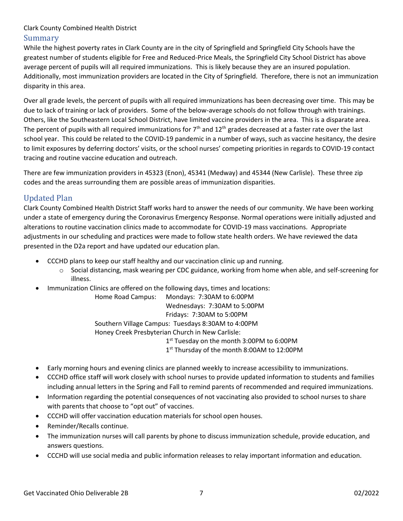While the highest poverty rates in Clark County are in the city of Springfield and Springfield City Schools have the greatest number of students eligible for Free and Reduced-Price Meals, the Springfield City School District has above average percent of pupils will all required immunizations. This is likely because they are an insured population. Additionally, most immunization providers are located in the City of Springfield. Therefore, there is not an immunization disparity in this area.

Over all grade levels, the percent of pupils with all required immunizations has been decreasing over time. This may be due to lack of training or lack of providers. Some of the below-average schools do not follow through with trainings. Others, like the Southeastern Local School District, have limited vaccine providers in the area. This is a disparate area. The percent of pupils with all required immunizations for  $7<sup>th</sup>$  and  $12<sup>th</sup>$  grades decreased at a faster rate over the last school year. This could be related to the COVID-19 pandemic in a number of ways, such as vaccine hesitancy, the desire to limit exposures by deferring doctors' visits, or the school nurses' competing priorities in regards to COVID-19 contact tracing and routine vaccine education and outreach.

There are few immunization providers in 45323 (Enon), 45341 (Medway) and 45344 (New Carlisle). These three zip codes and the areas surrounding them are possible areas of immunization disparities.

# Updated Plan

Clark County Combined Health District Staff works hard to answer the needs of our community. We have been working under a state of emergency during the Coronavirus Emergency Response. Normal operations were initially adjusted and alterations to routine vaccination clinics made to accommodate for COVID-19 mass vaccinations. Appropriate adjustments in our scheduling and practices were made to follow state health orders. We have reviewed the data presented in the D2a report and have updated our education plan.

- CCCHD plans to keep our staff healthy and our vaccination clinic up and running.
	- o Social distancing, mask wearing per CDC guidance, working from home when able, and self-screening for illness.
- Immunization Clinics are offered on the following days, times and locations:

Home Road Campus: Mondays: 7:30AM to 6:00PM Wednesdays: 7:30AM to 5:00PM Fridays: 7:30AM to 5:00PM Southern Village Campus: Tuesdays 8:30AM to 4:00PM Honey Creek Presbyterian Church in New Carlisle: 1<sup>st</sup> Tuesday on the month 3:00PM to 6:00PM 1 st Thursday of the month 8:00AM to 12:00PM

- Early morning hours and evening clinics are planned weekly to increase accessibility to immunizations.
- CCCHD office staff will work closely with school nurses to provide updated information to students and families including annual letters in the Spring and Fall to remind parents of recommended and required immunizations.
- Information regarding the potential consequences of not vaccinating also provided to school nurses to share with parents that choose to "opt out" of vaccines.
- CCCHD will offer vaccination education materials for school open houses.
- Reminder/Recalls continue.
- The immunization nurses will call parents by phone to discuss immunization schedule, provide education, and answers questions.
- CCCHD will use social media and public information releases to relay important information and education.